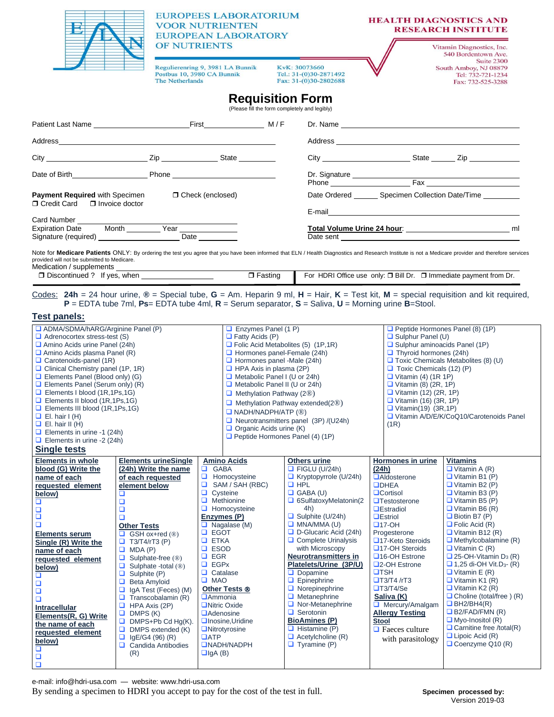|                                                                                                                                                                                                                                                                                                                                                                                                                                                                                                                                                                                                                                                         | <b>EUROPEES LABORATORIUM</b><br><b>VOOR NUTRIENTEN</b><br><b>EUROPEAN LABORATORY</b><br>OF NUTRIENTS<br>Regulierenring 9, 3981 LA Bunnik<br>KvK: 30073660<br>Postbus 10, 3980 CA Bunnik<br>Tel.: 31-(0)30-2871492<br>The Netherlands<br>Fax: 31-(0)30-2802688                                                                                                                                                                                                                                                                  |                                                                                                                                                                                                                                                                                                                                                                                                                                                                                                                                                                       |                                                                                                                                                                                                                                                                                                                                                                                                                                                                                                                                                                                               | <b>HEALTH DIAGNOSTICS AND</b>                                                                                                                                                                                                                                                                                                                                                                                                                 | <b>RESEARCH INSTITUTE</b><br>Vitamin Diagnostics, Inc.<br>540 Bordentown Ave.<br>Suite 2300<br>South Amboy, NJ 08879<br>Tel: 732-721-1234<br>Fax: 732-525-3288                                                                                                                                                                                                                                                                                                                                                                                                                                                                                                                |  |
|---------------------------------------------------------------------------------------------------------------------------------------------------------------------------------------------------------------------------------------------------------------------------------------------------------------------------------------------------------------------------------------------------------------------------------------------------------------------------------------------------------------------------------------------------------------------------------------------------------------------------------------------------------|--------------------------------------------------------------------------------------------------------------------------------------------------------------------------------------------------------------------------------------------------------------------------------------------------------------------------------------------------------------------------------------------------------------------------------------------------------------------------------------------------------------------------------|-----------------------------------------------------------------------------------------------------------------------------------------------------------------------------------------------------------------------------------------------------------------------------------------------------------------------------------------------------------------------------------------------------------------------------------------------------------------------------------------------------------------------------------------------------------------------|-----------------------------------------------------------------------------------------------------------------------------------------------------------------------------------------------------------------------------------------------------------------------------------------------------------------------------------------------------------------------------------------------------------------------------------------------------------------------------------------------------------------------------------------------------------------------------------------------|-----------------------------------------------------------------------------------------------------------------------------------------------------------------------------------------------------------------------------------------------------------------------------------------------------------------------------------------------------------------------------------------------------------------------------------------------|-------------------------------------------------------------------------------------------------------------------------------------------------------------------------------------------------------------------------------------------------------------------------------------------------------------------------------------------------------------------------------------------------------------------------------------------------------------------------------------------------------------------------------------------------------------------------------------------------------------------------------------------------------------------------------|--|
| <b>Requisition Form</b><br>(Please fill the form completely and legibly)                                                                                                                                                                                                                                                                                                                                                                                                                                                                                                                                                                                |                                                                                                                                                                                                                                                                                                                                                                                                                                                                                                                                |                                                                                                                                                                                                                                                                                                                                                                                                                                                                                                                                                                       |                                                                                                                                                                                                                                                                                                                                                                                                                                                                                                                                                                                               |                                                                                                                                                                                                                                                                                                                                                                                                                                               |                                                                                                                                                                                                                                                                                                                                                                                                                                                                                                                                                                                                                                                                               |  |
|                                                                                                                                                                                                                                                                                                                                                                                                                                                                                                                                                                                                                                                         |                                                                                                                                                                                                                                                                                                                                                                                                                                                                                                                                |                                                                                                                                                                                                                                                                                                                                                                                                                                                                                                                                                                       |                                                                                                                                                                                                                                                                                                                                                                                                                                                                                                                                                                                               |                                                                                                                                                                                                                                                                                                                                                                                                                                               | Dr. Name and the contract of the contract of the contract of the contract of the contract of the contract of the contract of the contract of the contract of the contract of the contract of the contract of the contract of t                                                                                                                                                                                                                                                                                                                                                                                                                                                |  |
| Address Address Address Address Address Address Address Address Address Address Address Address Address Address Address Address Address Address Address Address Address Address Address Address Address Address Address Addres                                                                                                                                                                                                                                                                                                                                                                                                                          |                                                                                                                                                                                                                                                                                                                                                                                                                                                                                                                                |                                                                                                                                                                                                                                                                                                                                                                                                                                                                                                                                                                       |                                                                                                                                                                                                                                                                                                                                                                                                                                                                                                                                                                                               |                                                                                                                                                                                                                                                                                                                                                                                                                                               |                                                                                                                                                                                                                                                                                                                                                                                                                                                                                                                                                                                                                                                                               |  |
|                                                                                                                                                                                                                                                                                                                                                                                                                                                                                                                                                                                                                                                         |                                                                                                                                                                                                                                                                                                                                                                                                                                                                                                                                |                                                                                                                                                                                                                                                                                                                                                                                                                                                                                                                                                                       |                                                                                                                                                                                                                                                                                                                                                                                                                                                                                                                                                                                               |                                                                                                                                                                                                                                                                                                                                                                                                                                               |                                                                                                                                                                                                                                                                                                                                                                                                                                                                                                                                                                                                                                                                               |  |
|                                                                                                                                                                                                                                                                                                                                                                                                                                                                                                                                                                                                                                                         |                                                                                                                                                                                                                                                                                                                                                                                                                                                                                                                                |                                                                                                                                                                                                                                                                                                                                                                                                                                                                                                                                                                       |                                                                                                                                                                                                                                                                                                                                                                                                                                                                                                                                                                                               |                                                                                                                                                                                                                                                                                                                                                                                                                                               |                                                                                                                                                                                                                                                                                                                                                                                                                                                                                                                                                                                                                                                                               |  |
| □ Check (enclosed)<br><b>Payment Required with Specimen</b><br>$\Box$ Credit Card $\Box$ Invoice doctor                                                                                                                                                                                                                                                                                                                                                                                                                                                                                                                                                 |                                                                                                                                                                                                                                                                                                                                                                                                                                                                                                                                |                                                                                                                                                                                                                                                                                                                                                                                                                                                                                                                                                                       |                                                                                                                                                                                                                                                                                                                                                                                                                                                                                                                                                                                               | Date Ordered ________ Specimen Collection Date/Time _________                                                                                                                                                                                                                                                                                                                                                                                 |                                                                                                                                                                                                                                                                                                                                                                                                                                                                                                                                                                                                                                                                               |  |
| Card Number<br>Expiration Date Month Year Date Date                                                                                                                                                                                                                                                                                                                                                                                                                                                                                                                                                                                                     |                                                                                                                                                                                                                                                                                                                                                                                                                                                                                                                                |                                                                                                                                                                                                                                                                                                                                                                                                                                                                                                                                                                       |                                                                                                                                                                                                                                                                                                                                                                                                                                                                                                                                                                                               | Date sent                                                                                                                                                                                                                                                                                                                                                                                                                                     |                                                                                                                                                                                                                                                                                                                                                                                                                                                                                                                                                                                                                                                                               |  |
| Note for Medicare Patients ONLY: By ordering the test you agree that you have been informed that ELN / Health Diagnostics and Research Institute is not a Medicare provider and therefore services<br>provided will not be submitted to Medicare.<br>Medication / supplements<br>$\Box$ Fasting<br>For HDRI Office use only: □ Bill Dr. □ Immediate payment from Dr.<br>Codes: 24h = 24 hour urine, $\circledast$ = Special tube, G = Am. Heparin 9 ml, H = Hair, K = Test kit, M = special requisition and kit required,<br>$P = EDTA$ tube 7ml, Ps= EDTA tube 4ml, R = Serum separator, S = Saliva, U = Morning urine B=Stool.<br><b>Test panels:</b> |                                                                                                                                                                                                                                                                                                                                                                                                                                                                                                                                |                                                                                                                                                                                                                                                                                                                                                                                                                                                                                                                                                                       |                                                                                                                                                                                                                                                                                                                                                                                                                                                                                                                                                                                               |                                                                                                                                                                                                                                                                                                                                                                                                                                               |                                                                                                                                                                                                                                                                                                                                                                                                                                                                                                                                                                                                                                                                               |  |
| ADMA/SDMA/hARG/Arginine Panel (P)<br>$\Box$ Adrenocortex stress-test (S)<br>Amino Acids urine Panel (24h)<br>$\Box$ Amino Acids plasma Panel (R)<br>$\Box$ Carotenoids-panel (1R)<br>$\Box$ Clinical Chemistry panel (1P, 1R)<br>Elements Panel (Blood only) (G)<br>$\Box$ Elements Panel (Serum only) (R)<br>$\Box$ Elements I blood (1R,1Ps,1G)<br>Elements II blood (1R,1Ps,1G)<br>Elements III blood (1R, 1Ps, 1G)<br>$\Box$ El. hair I (H)<br>$\Box$ El. hair II (H)<br>$\Box$ Elements in urine -1 (24h)<br>$\Box$ Elements in urine -2 (24h)<br><b>Single tests</b>                                                                              |                                                                                                                                                                                                                                                                                                                                                                                                                                                                                                                                | $\Box$ Enzymes Panel (1 P)<br>$\Box$ Fatty Acids (P)<br>$\Box$ Folic Acid Metabolites (5) (1P,1R)<br>$\Box$ Hormones panel-Female (24h)<br>$\Box$ Hormones panel -Male (24h)<br>$\Box$ HPA Axis in plasma (2P)<br>$\Box$ Metabolic Panel I (U or 24h)<br>$\Box$ Metabolic Panel II (U or 24h)<br>$\Box$ Methylation Pathway (2 $\circledR$ )<br>$\Box$ Methylation Pathway extended(2 $\circledR$ )<br>$\Box$ NADH/NADPH/ATP $(\circledR)$<br>$\Box$ Neurotransmitters panel (3P) /(U24h)<br>$\Box$ Organic Acids urine (K)<br>$\Box$ Peptide Hormones Panel (4) (1P) |                                                                                                                                                                                                                                                                                                                                                                                                                                                                                                                                                                                               | Peptide Hormones Panel (8) (1P)<br>$\Box$ Sulphur Panel (U)<br>$\Box$ Sulphur aminoacids Panel (1P)<br>$\Box$ Thyroid hormones (24h)<br>$\Box$ Toxic Chemicals Metabolites (8) (U)<br>$\Box$ Toxic Chemicals (12) (P)<br>$\Box$ Vitamin (4) (1R 1P)<br>$\Box$ Vitamin (8) (2R, 1P)<br>$\Box$ Vitamin (12) (2R, 1P)<br>Vitamin (16) (3R, 1P)<br>$\Box$ Vitamin(19) (3R,1P)<br>Vitamin A/D/E/K/CoQ10/Carotenoids Panel<br>(1R)                  |                                                                                                                                                                                                                                                                                                                                                                                                                                                                                                                                                                                                                                                                               |  |
| <b>Elements in whole</b><br>blood (G) Write the<br>name of each<br>requested element<br>below)<br>□<br>□<br>ō<br>о<br><b>Elements serum</b><br>Single (R) Write the<br>name of each<br>requested element<br>below)<br>❏<br>□<br>□<br>$\Box$<br><b>Intracellular</b><br>Elements(R, G) Write<br>the name of each<br>requested element<br>below)<br>❏<br>□<br>□                                                                                                                                                                                                                                                                                           | <b>Elements urineSingle</b><br>(24h) Write the name<br>of each requested<br>element below<br>❏<br>$\Box$<br>$\Box$<br>о<br><b>Other Tests</b><br>$GSH$ ox+red $(\circledR)$<br>o.<br>□.<br>$T3/T4/rT3$ (P)<br>o,<br>MDA(P)<br>Sulphate-free (®)<br>Q<br>Sulphate -total (®)<br>o.<br>Sulphite (P)<br>o<br>Beta Amyloid<br>o<br>IgA Test (Feces) (M)<br>О<br>Transcobalamin (R)<br>HPA Axis (2P)<br>o.<br>DMPS (K)<br>DMPS+Pb Cd Hg(K).<br>u<br>DMPS extended (K)<br>O.<br>o.<br>$lgE/G4$ (96) (R)<br>Candida Antibodies<br>(R) | <b>Amino Acids</b><br>$\Box$ GABA<br>$\Box$<br>Homocysteine<br>SAM / SAH (RBC)<br>$\Box$ Cysteine<br>$\Box$ Methionine<br>$\Box$ Homocysteine<br>Enzymes (P)<br>$\Box$ Nagalase (M)<br>$\Box$ EGOT<br><b>Q ETKA</b><br>$\square$ ESOD<br>$\Box$ EGR<br>$\Box$ EGPx<br>$\Box$ Catalase<br>$\Box$ MAO<br>Other Tests ®<br><b>Ammonia</b><br><b>Nitric Oxide</b><br><b>Adenosine</b><br>$\Box$ Inosine, Uridine<br><b>UNitrotyrosine</b><br>$\Box$ ATP<br><b>ONADH/NADPH</b><br>$\Box$ lgA (B)                                                                           | <b>Others urine</b><br>$\overline{\Box}$ FIGLU (U/24h)<br>$\Box$ Kryptopyrrole (U/24h)<br>$\Box$ HPL<br>$\Box$ GABA (U)<br>$\Box$ 6SulfatoxyMelatonin(2<br>4h)<br>$\Box$ Sulphite (U/24h)<br>$\Box$ MNA/MMA (U)<br>$\Box$ D-Glucaric Acid (24h)<br>$\Box$ Complete Urinalysis<br>with Microscopy<br><b>Neurotransmitters in</b><br>Platelets/Urine (3P/U)<br>$\Box$ Dopamine<br>$\Box$ Epinephrine<br>$\Box$ Norepinephrine<br>$\Box$ Metanephrine<br>$\Box$ Nor-Metanephrine<br>Serotonin<br><b>BioAmines (P)</b><br>$\Box$ Histamine (P)<br>$\Box$ Acetylcholine (R)<br>$\Box$ Tyramine (P) | Hormones in urine<br>(24h)<br><b>Aldosterone</b><br><b>ODHEA</b><br><b>QCortisol</b><br>$\Box$ Testosterone<br><b>QEstradiol</b><br><b>QEstriol</b><br>$\Box$ 17-OH<br>Progesterone<br>□17-Keto Steroids<br><b>Q17-OH Steroids</b><br>□16-OH Estrone<br><b>Q2-OH Estrone</b><br>TSH<br>$\Box$ T3/T4 /rT3<br>$\Box$ T3/T4/Se<br>Saliva (K)<br>Mercury/Amalgam<br><b>Allergy Testing</b><br>Stool<br>$\Box$ Faeces culture<br>with parasitology | <b>Vitamins</b><br>$\Box$ Vitamin A (R)<br>$\Box$ Vitamin B1 (P)<br>$\Box$ Vitamin B2 (P)<br>$\Box$ Vitamin B3 (P)<br>$\Box$ Vitamin B5 (P)<br>$\Box$ Vitamin B6 (R)<br>$\Box$ Biotin B7 (P)<br>$\Box$ Folic Acid (R)<br>$\Box$ Vitamin B12 (R)<br>$\Box$ Methylcobalamine (R)<br>$\Box$ Vitamin C (R)<br>$\Box$ 25-OH-Vitamin D <sub>3</sub> (R)<br>$\Box$ 1,25 di-OH Vit.D <sub>3</sub> - (R)<br>$\Box$ Vitamin E (R)<br>$\Box$ Vitamin K1 (R)<br>$\Box$ Vitamin K2 (R)<br>$\Box$ Choline (total/free) (R)<br>$\Box$ BH2/BH4(R)<br>$\Box$ B2/FAD/FMN (R)<br>$\Box$ Myo-Inositol (R)<br>$\Box$ Carnitine free /total(R)<br>$\Box$ Lipoic Acid (R)<br>$\Box$ Coenzyme Q10 (R) |  |

e-mail[: info@hdri-usa.com](mailto:info@hdri-usa.com) — website[: www.hdri-usa.com](http://www.hdri-usa.com/)

By sending a specimen to HDRI you accept to pay for the cost of the test in full. **Specimen processed by:**